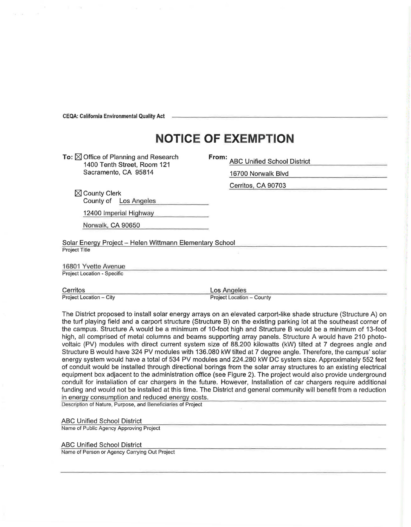CEQA: California Environmental Quality Act

## **NOTICE OF EXEMPTION**

To:  $\boxtimes$  Office of Planning and Research 1400 Tenth Street, Room 121 Sacramento, CA 95814

**From:** ABC Unified School District

16700 Norwalk Blvd

Cerritos, CA 90703

 $\boxtimes$  County Clerk County of Los Angeles

12400 Imperial Highway

Norwalk, CA 90650

Solar Energy Project - Helen Wittmann Elementary School Project Title

16801 Yvette Avenue Project Location - Specific

Cerritos Los Angeles<br>Project Location – City **Carlos Contract Location Project Location** 

Project Location - County

The District proposed to install solar energy arrays on an elevated carport-like shade structure (Structure A) on the turf playing field and a carport structure (Structure B) on the existing parking lot at the southeast corner of the campus. Structure A would be a minimum of 10-foot high and Structure B would be a minimum of 13-foot high, all comprised of metal columns and beams supporting array panels. Structure A would have 210 photovoltaic (PV) modules with direct current system size of 88.200 kilowatts (kW) tilted at 7 degrees angle and Structure B would have 324 PV modules with 136.080 kW tilted at 7 degree angle. Therefore, the campus' solar energy system would have a total of 534 PV modules and 224.280 kW DC system size. Approximately 552 feet of conduit would be installed through directional borings from the solar array structures to an existing electrical equipment box adjacent to the administration office (see Figure 2). The project would also provide underground conduit for installation of car chargers in the future. However, Installation of car chargers require additional funding and would not be installed at this time. The District and general community will benefit from a reduction in energy consumption and reduced energy costs.

Description of Nature, Purpose, and Beneficiaries of Project

ABC Unified School District

Name of Public Agency Approving Project

## ABC Unified School District

Name of Person or Agency Carrying Out Project